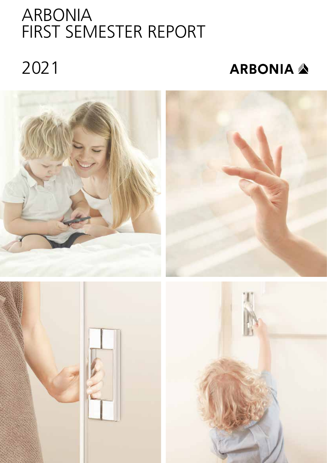## ARBONIA FIRST SEMESTER REPORT

2021



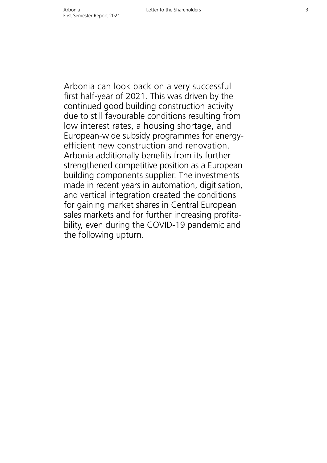Arbonia can look back on a very successful first half-year of 2021. This was driven by the continued good building construction activity due to still favourable conditions resulting from low interest rates, a housing shortage, and European-wide subsidy programmes for energyefficient new construction and renovation. Arbonia additionally benefits from its further strengthened competitive position as a European building components supplier. The investments made in recent years in automation, digitisation, and vertical integration created the conditions for gaining market shares in Central European sales markets and for further increasing profitability, even during the COVID-19 pandemic and the following upturn.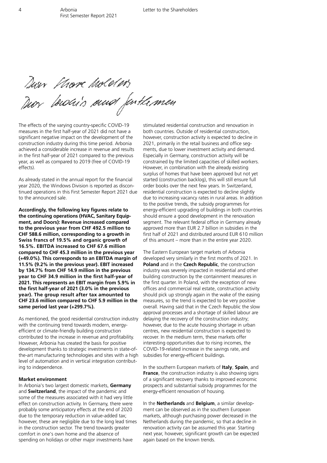Dur Vhore Molders<br>Duor lowai's ound furthemen

The effects of the varying country-specific COVID-19 measures in the first half-year of 2021 did not have a significant negative impact on the development of the construction industry during this time period. Arbonia achieved a considerable increase in revenue and results in the first half-year of 2021 compared to the previous year, as well as compared to 2019 (free of COVID-19 effects).

As already stated in the annual report for the financial year 2020, the Windows Division is reported as discontinued operations in this First Semester Report 2021 due to the announced sale.

**Accordingly, the following key figures relate to the continuing operations (HVAC, Sanitary Equipment, and Doors): Revenue increased compared to the previous year from CHF 492.5 million to CHF 588.6 million, corresponding to a growth in Swiss francs of 19.5% and organic growth of 16.5%. EBITDA increased to CHF 67.6 million compared to CHF 45.3 million in the previous year (+49.0%). This corresponds to an EBITDA margin of 11.5% (9.2% in the previous year). EBIT increased by 134.7% from CHF 14.9 million in the previous year to CHF 34.9 million in the first half-year of 2021. This represents an EBIT margin from 5.9% in the first half-year of 2021 (3.0% in the previous year). The group result after tax amounted to CHF 23.6 million compared to CHF 5.9 million in the same period last year (+299.7%).**

As mentioned, the good residential construction industry with the continuing trend towards modern, energyefficient or climate-friendly building construction contributed to the increase in revenue and profitability. However, Arbonia has created the basis for positive development thanks to strategic investments in state-ofthe-art manufacturing technologies and sites with a high level of automation and in vertical integration contributing to independence.

#### **Market environment**

In Arbonia's two largest domestic markets, **Germany** and **Switzerland**, the impact of the pandemic and some of the measures associated with it had very little effect on construction activity. In Germany, there were probably some anticipatory effects at the end of 2020 due to the temporary reduction in value-added tax; however, these are negligible due to the long lead times in the construction sector. The trend towards greater comfort in one's own home and the absence of spending on holidays or other major investments have

stimulated residential construction and renovation in both countries. Outside of residential construction, however, construction activity is expected to decline in 2021, primarily in the retail business and office segments, due to lower investment activity and demand. Especially in Germany, construction activity will be constrained by the limited capacities of skilled workers. However, in combination with the already existing surplus of homes that have been approved but not yet started (construction backlog), this will still ensure full order books over the next few years. In Switzerland, residential construction is expected to decline slightly due to increasing vacancy rates in rural areas. In addition to the positive trends, the subsidy programmes for energy-efficient upgrading of buildings in both countries should ensure a good development in the renovation segment. The relevant federal office in Germany already approved more than EUR 2.7 billion in subsidies in the first half of 2021 and distributed around EUR 610 million of this amount – more than in the entire year 2020.

The Eastern European target markets of Arbonia developed very similarly in the first months of 2021. In **Poland** and in the **Czech Republic**, the construction industry was severely impacted in residential and other building construction by the containment measures in the first quarter. In Poland, with the exception of new offices and commercial real estate, construction activity should pick up strongly again in the wake of the easing measures, so the trend is expected to be very positive overall. Having said that in the Czech Republic the slow approval processes and a shortage of skilled labour are delaying the recovery of the construction industry; however, due to the acute housing shortage in urban centres, new residential construction is expected to recover. In the medium term, these markets offer interesting opportunities due to rising incomes, the COVID-19-related increase in the savings rate, and subsidies for energy-efficient buildings.

In the southern European markets of **Italy**, **Spain**, and **France**, the construction industry is also showing signs of a significant recovery thanks to improved economic prospects and substantial subsidy programmes for the energy-efficient renovation of housing.

In the **Netherlands** and **Belgium**, a similar development can be observed as in the southern European markets, although purchasing power decreased in the Netherlands during the pandemic, so that a decline in renovation activity can be assumed this year. Starting next year, however, significant growth can be expected again based on the known trends.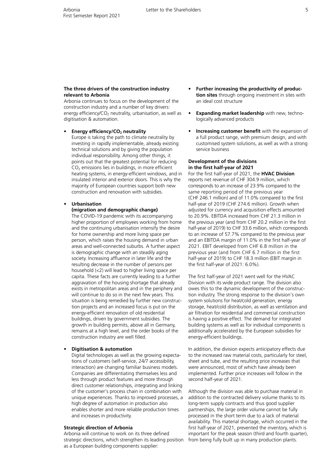#### **The three drivers of the construction industry relevant to Arbonia**

Arbonia continues to focus on the development of the construction industry and a number of key drivers: energy efficiency/ $CO<sub>2</sub>$  neutrality, urbanisation, as well as digitisation & automation.

#### **Energy efficiency/CO<sub>2</sub> neutrality**

Europe is taking the path to climate neutrality by investing in rapidly implementable, already existing technical solutions and by giving the population individual responsibility. Among other things, it points out that the greatest potential for reducing  $CO<sub>2</sub>$  emissions lies in buildings, in more efficient heating systems, in energy-efficient windows, and in insulated interior and exterior doors. This is why the majority of European countries support both new construction and renovation with subsidies.

#### • **Urbanisation**

### **(migration and demographic change)**

The COVID-19 pandemic with its accompanying higher proportion of employees working from home and the continuing urbanisation intensify the desire for home ownership and more living space per person, which raises the housing demand in urban areas and well-connected suburbs. A further aspect is demographic change with an steadily aging society. Increasing affluence in later life and the resulting decrease in the number of persons per household (<2) will lead to higher living space per capita. These facts are currently leading to a further aggravation of the housing shortage that already exists in metropolitan areas and in the periphery and will continue to do so in the next few years. This situation is being remedied by further new construction projects and an increased focus is put on the energy-efficient renovation of old residential buildings, driven by government subsidies. The growth in building permits, above all in Germany, remains at a high level, and the order books of the construction industry are well filled.

#### • **Digitisation & automation**

Digital technologies as well as the growing expectations of customers (self-service, 24/7 accessibility, interaction) are changing familiar business models. Companies are differentiating themselves less and less through product features and more through direct customer relationships, integrating and linking of the customer's process chain in combination with unique experiences. Thanks to improved processes, a high degree of automation in production also enables shorter and more reliable production times and increases in productivity.

#### **Strategic direction of Arbonia**

Arbonia will continue to work on its three defined strategic directions, which strengthen its leading position as a European building components supplier:

- **Further increasing the productivity of production sites** through ongoing investment in sites with an ideal cost structure
- **Expanding market leadership** with new, technologically advanced products
- **Increasing customer benefit** with the expansion of a full product range, with premium design, and with customised system solutions, as well as with a strong service business

#### **Development of the divisions in the first half-year of 2021**

For the first half-year of 2021, the **HVAC Division** reports net revenue of CHF 304.9 million, which corresponds to an increase of 23.9% compared to the same reporting period of the previous year (CHF 246.1 million) and of 11.0% compared to the first half-year of 2019 (CHF 274.6 million). Growth when adjusted for currency and acquisition effects amounted to 20.9%. EBITDA increased from CHF 21.3 million in the previous year (and from CHF 20.2 million in the first half-year of 2019) to CHF 33.6 million, which corresponds to an increase of 57.7% compared to the previous year and an EBITDA margin of 11.0% in the first half-year of 2021. EBIT developed from CHF 6.8 million in the previous year (and from CHF 6.7 million in the first half-year of 2019) to CHF 18.3 million (EBIT margin in the first half-year of 2021: 6.0%).

The first half-year of 2021 went well for the HVAC Division with its wide product range. The division also owes this to the dynamic development of the construction industry. The strong response to the division's own system solutions for heat/cold generation, energy storage, heat/cold distribution, as well as ventilation and air filtration for residential and commercial construction is having a positive effect. The demand for integrated building systems as well as for individual components is additionally accelerated by the European subsidies for energy-efficient buildings.

In addition, the division expects anticipatory effects due to the increased raw material costs, particularly for steel, sheet and tube, and the resulting price increases that were announced, most of which have already been implemented. Further price increases will follow in the second half-year of 2021.

Although the division was able to purchase material in addition to the contracted delivery volume thanks to its long-term supply contracts and thus good supplier partnerships, the large order volume cannot be fully processed in the short term due to a lack of material availability. This material shortage, which occurred in the first half-year of 2021, prevented the inventory, which is important for the peak season (third and fourth quarter), from being fully built up in many production plants.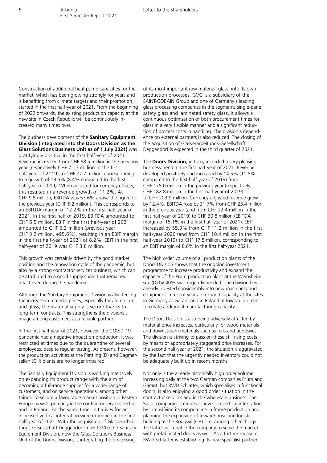Construction of additional heat pump capacities for the market, which has been growing strongly for years and is benefiting from climate targets and their promotion, started in the first half-year of 2021. From the beginning of 2022 onwards, the existing production capacity at the new site in Czech Republic will be continuously increased many times over.

The business development of the **Sanitary Equipment Division (integrated into the Doors Division as the Glass Solutions Business Unit as of 1 July 2021)** was gratifyingly positive in the first half-year of 2021. Revenue increased from CHF 68.5 million in the previous year (respectively CHF 71.7 million in the first half-year of 2019) to CHF 77.7 million, corresponding to a growth of 13.5% (8.4% compared to the first half-year of 2019). When adjusted for currency effects, this resulted in a revenue growth of 11.2%. At CHF 9.5 million, EBITDA was 53.6% above the figure for the previous year (CHF 6.2 million). This corresponds to an EBITDA margin of 12.2% in the first half-year of 2021. In the first half of 2019, EBITDA amounted to CHF 6.5 million. EBIT in the first half-year of 2021 amounted to CHF 6.3 million (previous year: CHF 3.2 million, +95.6%), resulting in an EBIT margin in the first half-year of 2021 of 8.2%. EBIT in the first half-year of 2019 was CHF 3.8 million.

This growth was certainly driven by the good market position and the renovation cycle of the pandemic, but also by a strong contractor services business, which can be attributed to a good supply chain that remained intact even during the pandemic.

Although the Sanitary Equipment Division is also feeling the increase in material prices, especially for aluminium and glass, the material supply is secure thanks to long-term contracts. This strengthens the divisions's image among customers as a reliable partner.

In the first half-year of 2021, however, the COVID-19 pandemic had a negative impact on production. It was restricted at times due to the quarantine of several employees, despite regular testing. At present, however, the production activities at the Plattling (D) and Dagmersellen (CH) plants are no longer impaired.

The Sanitary Equipment Division is working intensively on expanding its product range with the aim of becoming a full-range supplier for a wider range of customers, and on service operations, among other things, to secure a favourable market position in Eastern Europe as well, primarily in the contractor services sector and in Poland. At the same time, initiatives for an increased vertical integration were examined in the first half-year of 2021. With the acquisition of Glasverarbeitungs-Gesellschaft Deggendorf mbH (GVG) the Sanitary Equipment Division, now the Glass Solutions Business Unit of the Doors Division, is integrating the processing

of its most important raw material, glass, into its own production processes. GVG is a subsidiary of the SAINT-GOBAIN Group and one of Germany's leading glass processing companies in the segments single-pane safety glass and laminated safety glass. It allows a continuous optimisation of both procurement times for glass in a very flexible manner and a significant reduction of process costs in handling. The division's dependence on external partners is also reduced. The closing of the acquisition of Glasverarbeitungs-Gesellschaft Deggendorf is expected in the third quarter of 2021.

The **Doors Division**, in turn, recorded a very pleasing business trend in the first half-year of 2021. Revenue developed positively and increased by 14.5% (11.5% compared to the first half-year of 2019) from CHF 178.0 million in the previous year (respectively CHF 182.8 million in the first half-year of 2019) to CHF 203.9 million. Currency-adjusted revenue grew by 12.4%. EBITDA rose by 31.7% from CHF 23.4 million in the previous year (and from CHF 22.4 million in the first half-year of 2019) to CHF 30.8 million (EBITDA margin of 15.1% in the first half-year of 2021). EBIT increased by 55.9% from CHF 11.2 million in the first half-year 2020 (and from CHF 10.4 million in the first half-year 2019) to CHF 17.5 million, corresponding to an EBIT margin of 8.6% in the first half-year 2021.

The high order volume of all production plants of the Doors Division shows that the ongoing investment programme to increase productivity and expand the capacity of the Prüm production plant at the Weinsheim site (D) by 40% was urgently needed. The division has already invested considerably into new machinery and equipment in recent years to expand capacity at the sites in Germany at Garant and in Poland at Invado in order to create additional manufacturing capacity.

The Doors Division is also being adversely affected by material price increases, particularly for wood materials and downstream materials such as foils and adhesives. The division is striving to pass on these still rising costs by means of appropriately staggered price increases. For the second half-year of 2021, the situation is aggravated by the fact that the urgently needed inventory could not be adequately built up in recent months.

Not only is the already historically high order volume increasing daily at the two German companies Prüm and Garant, but RWD Schlatter, which specialises in functional doors, is also enjoying a good order situation in the contractor services and in the wholesale business. The Swiss company continues to invest in vertical integration by intensifying its competence in frame production and planning the expansion of a warehouse and logistics building at the Roggwil (CH) site, among other things. The latter will enable the company to serve the market with prefabricated doors as well. As a further measure, RWD Schlatter is establishing its new specialist partner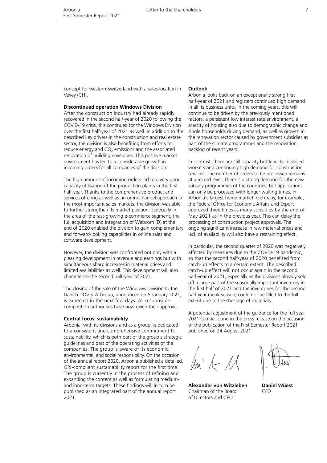concept for western Switzerland with a sales location in Vevey (CH).

#### **Discontinued operation Windows Division**

After the construction industry had already rapidly recovered in the second half-year of 2020 following the COVID-19 crisis, this continued for the Windows Division over the first half-year of 2021 as well. In addition to the described key drivers in the construction and real estate sector, the division is also benefiting from efforts to reduce energy and  $CO<sub>2</sub>$  emissions and the associated renovation of building envelopes. This positive market environment has led to a considerable growth in incoming orders for all companies of the division.

The high amount of incoming orders led to a very good capacity utilisation of the production plants in the first half-year. Thanks to the comprehensive product and services offering as well as an omni-channel approach in the most important sales markets, the division was able to further strengthen its market position. Especially in the area of the fast-growing e-commerce segment, the full acquisition and integration of Webcom (D) at the end of 2020 enabled the division to gain complementary and forward-looking capabilities in online sales and software development.

However, the division was confronted not only with a pleasing development in revenue and earnings but with simultaneous sharp increases in material prices and limited availabilities as well. This development will also characterise the second half-year of 2021.

The closing of the sale of the Windows Division to the Danish DOVISTA Group, announced on 5 January 2021, is expected in the next few days. All responsible competition authorities have now given their approval.

#### **Central focus: sustainability**

Arbonia, with its divisions and as a group, is dedicated to a consistent and comprehensive commitment to sustainability, which is both part of the group's strategic guidelines and part of the operating activities of the companies. The group is aware of its economic, environmental, and social responsibility. On the occasion of the annual report 2020, Arbonia published a detailed, GRI-compliant sustainability report for the first time. The group is currently in the process of refining and expanding the content as well as formulating mediumand long-term targets. These findings will in turn be published as an integrated part of the annual report 2021.

#### **Outlook**

Arbonia looks back on an exceptionally strong first half-year of 2021 and registers continued high demand in all its business units. In the coming years, this will continue to be driven by the previously mentioned factors: a persistent low interest rate environment, a scarcity of housing also due to demographic change and single households driving demand, as well as growth in the renovation sector caused by government subsidies as part of the climate programmes and the renovation backlog of recent years.

In contrast, there are still capacity bottlenecks in skilled workers and continuing high demand for construction services. The number of orders to be processed remains at a record level. There is a strong demand for the new subsidy programmes of the countries, but applications can only be processed with longer waiting times. In Arbonia's largest home market, Germany, for example, the Federal Office for Economic Affairs and Export approved three times as many subsidies by the end of May 2021 as in the previous year. This can delay the processing of construction project approvals. The ongoing significant increase in raw material prices and lack of availability will also have a restraining effect.

In particular, the second quarter of 2020 was negatively affected by measures due to the COVID-19 pandemic, so that the second half-year of 2020 benefited from catch-up effects to a certain extent. The described catch-up effect will not occur again in the second half-year of 2021, especially as the divisions already sold off a large part of the seasonally important inventory in the first half of 2021 and the inventories for the second half-year (peak season) could not be filled to the full extent due to the shortage of materials.

A potential adjustment of the guidance for the full year 2021 can be found in the press release on the occasion of the publication of the First Semester Report 2021 published on 24 August 2021.

 $\ln \leftarrow \frac{1}{2}$ 

**Alexander von Witzleben Daniel Wüest** Chairman of the Board CFO of Directors and CEO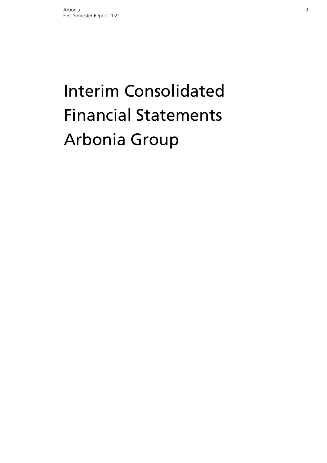# Interim Consolidated Financial Statements Arbonia Group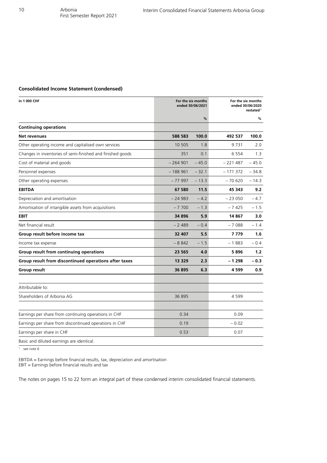#### **Consolidated Income Statement (condensed)**

| in 1 000 CHF                                               |           | For the six months<br>ended 30/06/2021 | For the six months<br>ended 30/06/2020<br>restated <sup>1</sup> |         |
|------------------------------------------------------------|-----------|----------------------------------------|-----------------------------------------------------------------|---------|
|                                                            |           | %                                      |                                                                 | %       |
| <b>Continuing operations</b>                               |           |                                        |                                                                 |         |
| <b>Net revenues</b>                                        | 588 583   | 100.0                                  | 492 537                                                         | 100.0   |
| Other operating income and capitalised own services        | 10 505    | 1.8                                    | 9731                                                            | 2.0     |
| Changes in inventories of semi-finished and finished goods | 351       | 0.1                                    | 6 5 5 4                                                         | 1.3     |
| Cost of material and goods                                 | $-264901$ | $-45.0$                                | $-221487$                                                       | $-45.0$ |
| Personnel expenses                                         | $-188961$ | $-32.1$                                | $-171372$                                                       | $-34.8$ |
| Other operating expenses                                   | $-77997$  | $-13.3$                                | $-70620$                                                        | $-14.3$ |
| <b>EBITDA</b>                                              | 67 580    | 11.5                                   | 45 343                                                          | 9.2     |
| Depreciation and amortisation                              | $-24983$  | $-4.2$                                 | $-23050$                                                        | $-4.7$  |
| Amortisation of intangible assets from acquisitions        | $-7700$   | $-1.3$                                 | $-7425$                                                         | $-1.5$  |
| <b>EBIT</b>                                                | 34 896    | 5.9                                    | 14 8 67                                                         | 3.0     |
| Net financial result                                       | $-2489$   | $-0.4$                                 | $-7088$                                                         | $-1.4$  |
| Group result before income tax                             | 32 407    | 5.5                                    | 7779                                                            | 1.6     |
| Income tax expense                                         | $-8842$   | $-1.5$                                 | $-1883$                                                         | $-0.4$  |
| Group result from continuing operations                    | 23 565    | 4.0                                    | 5896                                                            | 1.2     |
| Group result from discontinued operations after taxes      | 13 329    | 2.3                                    | $-1298$                                                         | $-0.3$  |
| Group result                                               | 36 895    | 6.3                                    | 4 5 9 9                                                         | 0.9     |
| Attributable to:                                           |           |                                        |                                                                 |         |
| Shareholders of Arbonia AG                                 | 36 895    |                                        | 4 5 9 9                                                         |         |
|                                                            |           |                                        |                                                                 |         |
| Earnings per share from continuing operations in CHF       | 0.34      |                                        | 0.09                                                            |         |
| Earnings per share from discontinued operations in CHF     | 0.19      |                                        | $-0.02$                                                         |         |
| Earnings per share in CHF                                  | 0.53      |                                        | 0.07                                                            |         |
| Basic and diluted earnings are identical.                  |           |                                        |                                                                 |         |

1 see note 6

EBITDA = Earnings before financial results, tax, depreciation and amortisation  $EBIT = Earnings before financial results and tax$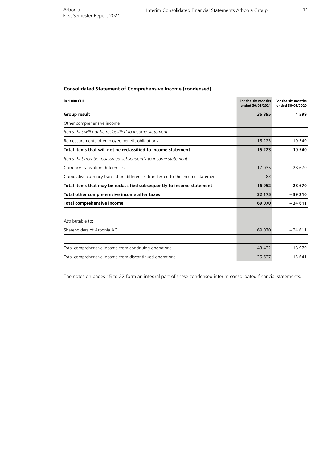#### **Consolidated Statement of Comprehensive Income (condensed)**

| in 1 000 CHF                                                                    | For the six months<br>ended 30/06/2021 | For the six months<br>ended 30/06/2020 |
|---------------------------------------------------------------------------------|----------------------------------------|----------------------------------------|
| Group result                                                                    | 36 895                                 | 4 5 9 9                                |
| Other comprehensive income                                                      |                                        |                                        |
| Items that will not be reclassified to income statement                         |                                        |                                        |
| Remeasurements of employee benefit obligations                                  | 15 2 2 3                               | $-10540$                               |
| Total items that will not be reclassified to income statement                   | 15 2 23                                | $-10540$                               |
| Items that may be reclassified subsequently to income statement                 |                                        |                                        |
| Currency translation differences                                                | 17 035                                 | $-28670$                               |
| Cumulative currency translation differences transferred to the income statement | $-83$                                  |                                        |
| Total items that may be reclassified subsequently to income statement           | 16 952                                 | $-28670$                               |
| Total other comprehensive income after taxes                                    | 32 175                                 | $-39210$                               |
| Total comprehensive income                                                      | 69 070                                 | $-34611$                               |
|                                                                                 |                                        |                                        |
| Attributable to:                                                                |                                        |                                        |
| Shareholders of Arbonia AG                                                      | 69 0 70                                | $-34611$                               |
|                                                                                 |                                        |                                        |
| Total comprehensive income from continuing operations                           | 43 4 32                                | $-18970$                               |
| Total comprehensive income from discontinued operations                         | 25 637                                 | $-15641$                               |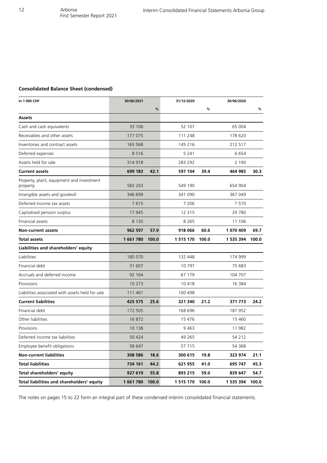#### **Consolidated Balance Sheet (condensed)**

| in 1 000 CHF                                          | 30/06/2021 |       | 31/12/2020 |       | 30/06/2020 |       |
|-------------------------------------------------------|------------|-------|------------|-------|------------|-------|
|                                                       |            | %     |            | %     |            | %     |
| <b>Assets</b>                                         |            |       |            |       |            |       |
| Cash and cash equivalents                             | 33 106     |       | 52 107     |       | 65 004     |       |
| Receivables and other assets                          | 177 075    |       | 111 248    |       | 178 620    |       |
| Inventories and contract assets                       | 165 568    |       | 145 216    |       | 212 517    |       |
| Deferred expenses                                     | 8516       |       | 5 2 4 1    |       | 6 6 5 4    |       |
| Assets held for sale                                  | 314 918    |       | 283 292    |       | 2 1 9 0    |       |
| <b>Current assets</b>                                 | 699 183    | 42.1  | 597 104    | 39.4  | 464 985    | 30.3  |
| Property, plant, equipment and investment<br>property | 582 203    |       | 549 190    |       | 654 904    |       |
| Intangible assets and goodwill                        | 346 699    |       | 341 090    |       | 367 049    |       |
| Deferred income tax assets                            | 7615       |       | 7 2 0 6    |       | 7 5 7 0    |       |
| Capitalised pension surplus                           | 17 945     |       | 12 3 15    |       | 29 780     |       |
| Financial assets                                      | 8 1 3 5    |       | 8 2 6 5    |       | 11 106     |       |
| <b>Non-current assets</b>                             | 962 597    | 57.9  | 918 066    | 60.6  | 1 070 409  | 69.7  |
| <b>Total assets</b>                                   | 1661780    | 100.0 | 1 515 170  | 100.0 | 1 535 394  | 100.0 |
| Liabilities and shareholders' equity                  |            |       |            |       |            |       |
| Liabilities                                           | 180 070    |       | 132 448    |       | 174 999    |       |
| Financial debt                                        | 31 607     |       | 10 797     |       | 75 683     |       |
| Accruals and deferred income                          | 92 164     |       | 67 179     |       | 104 707    |       |
| Provisions                                            | 10 273     |       | 10418      |       | 16 384     |       |
| Liabilities associated with assets held for sale      | 111 461    |       | 100 498    |       |            |       |
| <b>Current liabilities</b>                            | 425 575    | 25.6  | 321 340    | 21.2  | 371 773    | 24.2  |
| Financial debt                                        | 172 505    |       | 168 696    |       | 187 952    |       |
| Other liabilities                                     | 16872      |       | 15 476     |       | 15 4 60    |       |
| Provisions                                            | 10 138     |       | 9 4 6 3    |       | 11 982     |       |
| Deferred income tax liabilities                       | 50 424     |       | 49 265     |       | 54 212     |       |
| Employee benefit obligations                          | 58 647     |       | 57 715     |       | 54 368     |       |
| <b>Non-current liabilities</b>                        | 308 586    | 18.6  | 300 615    | 19.8  | 323 974    | 21.1  |
| <b>Total liabilities</b>                              | 734 161    | 44.2  | 621 955    | 41.0  | 695 747    | 45.3  |
| Total shareholders' equity                            | 927 619    | 55.8  | 893 215    | 59.0  | 839 647    | 54.7  |
| Total liabilities and shareholders' equity            | 1661780    | 100.0 | 1 515 170  | 100.0 | 1 535 394  | 100.0 |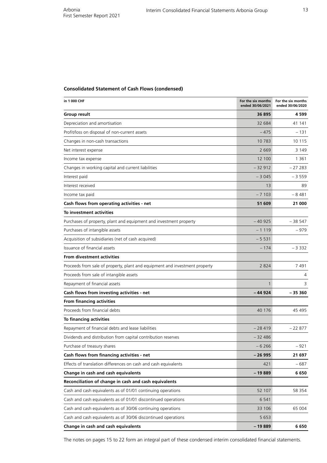#### **Consolidated Statement of Cash Flows (condensed)**

| in 1 000 CHF                                                                | For the six months<br>ended 30/06/2021 | For the six months<br>ended 30/06/2020 |
|-----------------------------------------------------------------------------|----------------------------------------|----------------------------------------|
| Group result                                                                | 36 895                                 | 4 599                                  |
| Depreciation and amortisation                                               | 32 684                                 | 41 141                                 |
| Profit/loss on disposal of non-current assets                               | $-475$                                 | $-131$                                 |
| Changes in non-cash transactions                                            | 10783                                  | 10 115                                 |
| Net interest expense                                                        | 2 6 6 9                                | 3 1 4 9                                |
| Income tax expense                                                          | 12 100                                 | 1 3 6 1                                |
| Changes in working capital and current liabilities                          | $-32912$                               | $-27283$                               |
| Interest paid                                                               | $-3045$                                | $-3559$                                |
| Interest received                                                           | 13                                     | 89                                     |
| Income tax paid                                                             | $-7103$                                | $-8481$                                |
| Cash flows from operating activities - net                                  | 51 609                                 | 21 000                                 |
| To investment activities                                                    |                                        |                                        |
| Purchases of property, plant and equipment and investment property          | $-40925$                               | $-38547$                               |
| Purchases of intangible assets                                              | $-1119$                                | $-979$                                 |
| Acquisition of subsidiaries (net of cash acquired)                          | $-5531$                                |                                        |
| Issuance of financial assets                                                | $-174$                                 | $-3332$                                |
| From divestment activities                                                  |                                        |                                        |
| Proceeds from sale of property, plant and equipment and investment property | 2 8 2 4                                | 7491                                   |
| Proceeds from sale of intangible assets                                     |                                        | 4                                      |
| Repayment of financial assets                                               | 1                                      | 3                                      |
| Cash flows from investing activities - net                                  | $-44924$                               | $-35360$                               |
| <b>From financing activities</b>                                            |                                        |                                        |
| Proceeds from financial debts                                               | 40 176                                 | 45 495                                 |
| To financing activities                                                     |                                        |                                        |
| Repayment of financial debts and lease liabilities                          | $-28419$                               | $-22877$                               |
| Dividends and distribution from capital contribution reserves               | $-32486$                               |                                        |
| Purchase of treasury shares                                                 | $-6266$                                | $-921$                                 |
| Cash flows from financing activities - net                                  | $-26995$                               | 21 697                                 |
| Effects of translation differences on cash and cash equivalents             | 421                                    | - 687                                  |
| Change in cash and cash equivalents                                         | $-19889$                               | 6 6 5 0                                |
| Reconciliation of change in cash and cash equivalents                       |                                        |                                        |
| Cash and cash equivalents as of 01/01 continuing operations                 | 52 107                                 | 58 354                                 |
| Cash and cash equivalents as of 01/01 discontinued operations               | 6 5 4 1                                |                                        |
| Cash and cash equivalents as of 30/06 continuing operations                 | 33 106                                 | 65 004                                 |
| Cash and cash equivalents as of 30/06 discontinued operations               | 5 6 5 3                                |                                        |
| Change in cash and cash equivalents                                         | $-19889$                               | 6 6 5 0                                |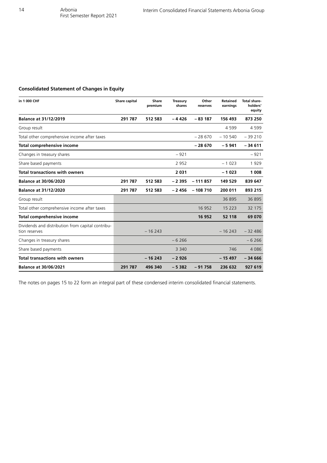## **Consolidated Statement of Changes in Equity**

| in 1 000 CHF                                                       | Share capital | Share<br>premium | <b>Treasury</b><br>shares | Other<br>reserves | <b>Retained</b><br>earnings | <b>Total share-</b><br>holders'<br>equity |
|--------------------------------------------------------------------|---------------|------------------|---------------------------|-------------------|-----------------------------|-------------------------------------------|
| <b>Balance at 31/12/2019</b>                                       | 291 787       | 512 583          | $-4426$                   | $-83187$          | 156 493                     | 873 250                                   |
| Group result                                                       |               |                  |                           |                   | 4 5 9 9                     | 4 5 9 9                                   |
| Total other comprehensive income after taxes                       |               |                  |                           | $-28670$          | $-10540$                    | $-39210$                                  |
| <b>Total comprehensive income</b>                                  |               |                  |                           | $-28670$          | $-5941$                     | $-34611$                                  |
| Changes in treasury shares                                         |               |                  | $-921$                    |                   |                             | $-921$                                    |
| Share based payments                                               |               |                  | 2 9 5 2                   |                   | $-1023$                     | 1929                                      |
| <b>Total transactions with owners</b>                              |               |                  | 2031                      |                   | $-1023$                     | 1 0 0 8                                   |
| <b>Balance at 30/06/2020</b>                                       | 291 787       | 512 583          | $-2395$                   | $-111857$         | 149 529                     | 839 647                                   |
| <b>Balance at 31/12/2020</b>                                       | 291 787       | 512 583          | $-2456$                   | $-108710$         | 200 011                     | 893 215                                   |
| Group result                                                       |               |                  |                           |                   | 36 895                      | 36 895                                    |
| Total other comprehensive income after taxes                       |               |                  |                           | 16 952            | 15 2 2 3                    | 32 175                                    |
| Total comprehensive income                                         |               |                  |                           | 16 952            | 52 118                      | 69 070                                    |
| Dividends and distribution from capital contribu-<br>tion reserves |               | $-16243$         |                           |                   | $-16243$                    | $-32486$                                  |
| Changes in treasury shares                                         |               |                  | $-6266$                   |                   |                             | $-6266$                                   |
| Share based payments                                               |               |                  | 3 3 4 0                   |                   | 746                         | 4 0 8 6                                   |
| <b>Total transactions with owners</b>                              |               | $-16243$         | $-2926$                   |                   | $-15497$                    | $-34666$                                  |
| <b>Balance at 30/06/2021</b>                                       | 291 787       | 496 340          | $-5382$                   | $-91758$          | 236 632                     | 927 619                                   |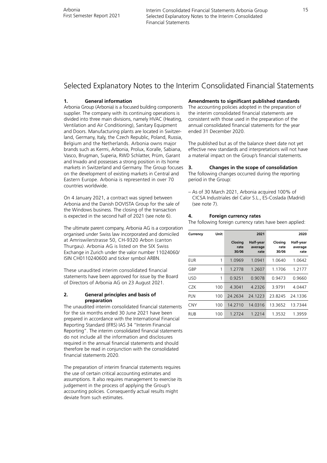## Selected Explanatory Notes to the Interim Consolidated Financial Statements

#### **1. General information**

Arbonia Group (Arbonia) is a focused building components supplier. The company with its continuing operations is divided into three main divisions, namely HVAC (Heating, Ventilation and Air Conditioning), Sanitary Equipment and Doors. Manufacturing plants are located in Switzerland, Germany, Italy, the Czech Republic, Poland, Russia, Belgium and the Netherlands. Arbonia owns major brands such as Kermi, Arbonia, Prolux, Koralle, Sabiana, Vasco, Brugman, Superia, RWD Schlatter, Prüm, Garant and Invado and possesses a strong position in its home markets in Switzerland and Germany. The Group focuses on the development of existing markets in Central and Eastern Europe. Arbonia is represented in over 70 countries worldwide.

On 4 January 2021, a contract was signed between Arbonia and the Danish DOVISTA Group for the sale of the Windows business. The closing of the transaction is expected in the second half of 2021 (see note 6).

The ultimate parent company, Arbonia AG is a corporation organised under Swiss law incorporated and domiciled at Amriswilerstrasse 50, CH-9320 Arbon (canton Thurgau). Arbonia AG is listed on the SIX Swiss Exchange in Zurich under the valor number 11024060/ ISIN CH0110240600 and ticker symbol ARBN.

These unaudited interim consolidated financial statements have been approved for issue by the Board of Directors of Arbonia AG on 23 August 2021.

#### **2. General principles and basis of preparation**

The unaudited interim consolidated financial statements for the six months ended 30 June 2021 have been prepared in accordance with the International Financial Reporting Standard (IFRS) IAS 34 "Interim Financial Reporting". The interim consolidated financial statements do not include all the information and disclosures required in the annual financial statements and should therefore be read in conjunction with the consolidated financial statements 2020.

The preparation of interim financial statements requires the use of certain critical accounting estimates and assumptions. It also requires management to exercise its judgement in the process of applying the Group's accounting policies. Consequently actual results might deviate from such estimates.

#### **Amendments to significant published standards**

The accounting policies adopted in the preparation of the interim consolidated financial statements are consistent with those used in the preparation of the annual consolidated financial statements for the year ended 31 December 2020.

The published but as of the balance sheet date not yet effective new standards and interpretations will not have a material impact on the Group's financial statements.

#### **3. Changes in the scope of consolidation**

The following changes occurred during the reporting period in the Group:

– As of 30 March 2021, Arbonia acquired 100% of CICSA Industriales del Calor S.L., ES-Coslada (Madrid) (see note 7).

#### **4. Foreign currency rates**

The following foreign currency rates have been applied:

| Currency   | Unit |                          | 2021                         |                          | 2020                         |
|------------|------|--------------------------|------------------------------|--------------------------|------------------------------|
|            |      | Closing<br>rate<br>30/06 | Half-year<br>average<br>rate | Closing<br>rate<br>30/06 | Half-year<br>average<br>rate |
| EUR        | 1    | 1.0969                   | 1.0941                       | 1.0640                   | 1.0642                       |
| GBP        | 1    | 1.2778                   | 1.2607                       | 1.1706                   | 1.2177                       |
| USD        | 1    | 0.9251                   | 0.9078                       | 0.9473                   | 0.9660                       |
| CZK        | 100  | 4.3041                   | 4.2326                       | 3.9791                   | 4.0447                       |
| PLN        | 100  | 24.2634                  | 24.1223                      | 23.8245                  | 24.1336                      |
| <b>CNY</b> | 100  | 14.2710                  | 14.0316                      | 13.3652                  | 13.7344                      |
| RUB        | 100  | 1.2724                   | 1.2214                       | 1.3532                   | 1.3959                       |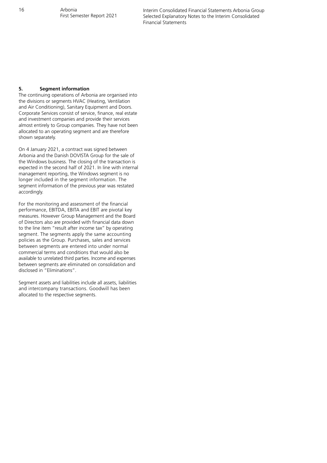#### **5. Segment information**

The continuing operations of Arbonia are organised into the divisions or segments HVAC (Heating, Ventilation and Air Conditioning), Sanitary Equipment and Doors. Corporate Services consist of service, finance, real estate and investment companies and provide their services almost entirely to Group companies. They have not been allocated to an operating segment and are therefore shown separately.

On 4 January 2021, a contract was signed between Arbonia and the Danish DOVISTA Group for the sale of the Windows business. The closing of the transaction is expected in the second half of 2021. In line with internal management reporting, the Windows segment is no longer included in the segment information. The segment information of the previous year was restated accordingly.

For the monitoring and assessment of the financial performance, EBITDA, EBITA and EBIT are pivotal key measures. However Group Management and the Board of Directors also are provided with financial data down to the line item "result after income tax" by operating segment. The segments apply the same accounting policies as the Group. Purchases, sales and services between segments are entered into under normal commercial terms and conditions that would also be available to unrelated third parties. Income and expenses between segments are eliminated on consolidation and disclosed in "Eliminations".

Segment assets and liabilities include all assets, liabilities and intercompany transactions. Goodwill has been allocated to the respective segments.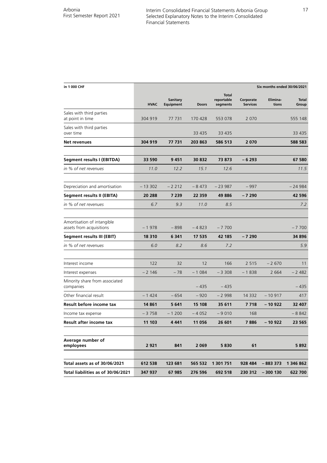| in 1 000 CHF                                           |             |                              |              |                                        |                              | Six months ended 30/06/2021 |                       |
|--------------------------------------------------------|-------------|------------------------------|--------------|----------------------------------------|------------------------------|-----------------------------|-----------------------|
|                                                        | <b>HVAC</b> | <b>Sanitary</b><br>Equipment | <b>Doors</b> | <b>Total</b><br>reportable<br>segments | Corporate<br><b>Services</b> | Elimina-<br>tions           | <b>Total</b><br>Group |
| Sales with third parties<br>at point in time           | 304 919     | 77 731                       | 170 428      | 553 078                                | 2 0 7 0                      |                             | 555 148               |
| Sales with third parties<br>over time                  |             |                              | 33 4 35      | 33 4 35                                |                              |                             | 33 4 35               |
| Net revenues                                           | 304 919     | 77 731                       | 203 863      | 586 513                                | 2070                         |                             | 588 583               |
| Segment results I (EBITDA)                             | 33 590      | 9451                         | 30 832       | 73 873                                 | $-6293$                      |                             | 67 580                |
| in % of net revenues                                   | 11.0        | 12.2                         | 15.1         | 12.6                                   |                              |                             | 11.5                  |
| Depreciation and amortisation                          | $-13302$    | $-2212$                      | $-8473$      | $-23987$                               | $-997$                       |                             | $-24984$              |
| Segment results II (EBITA)                             | 20 288      | 7 2 3 9                      | 22 359       | 49886                                  | - 7 290                      |                             | 42 596                |
| in % of net revenues                                   | 6.7         | 9.3                          | 11.0         | 8.5                                    |                              |                             | 7.2                   |
| Amortisation of intangible<br>assets from acquisitions | $-1978$     | $-898$                       | $-4823$      | $-7700$                                |                              |                             | $-7700$               |
| <b>Segment results III (EBIT)</b>                      | 18 310      | 6 3 4 1                      | 17 535       | 42 185                                 | $-7290$                      |                             | 34 896                |
| in % of net revenues                                   | 6.0         | 8.2                          | 8.6          | 7.2                                    |                              |                             | 5.9                   |
| Interest income                                        | 122         | 32                           | 12           | 166                                    | 2 5 1 5                      | $-2670$                     | 11                    |
| Interest expenses                                      | $-2146$     | $-78$                        | $-1084$      | $-3308$                                | $-1838$                      | 2 6 6 4                     | $-2482$               |
| Minority share from associated<br>companies            |             |                              | $-435$       | $-435$                                 |                              |                             | -435                  |
| Other financial result                                 | $-1424$     | $-654$                       | $-920$       | $-2998$                                | 14 3 32                      | $-10917$                    | 417                   |
| Result before income tax                               | 14861       | 5 641                        | 15 108       | 35 611                                 | 7718                         | - 10 922                    | 32 407                |
| Income tax expense                                     | $-3758$     | $-1200$                      | $-4052$      | $-9010$                                | 168                          |                             | $-8842$               |
| <b>Result after income tax</b>                         | 11 103      | 4 4 4 1                      | 11 056       | 26 601                                 | 7886                         | $-10922$                    | 23 565                |
| Average number of<br>employees                         | 2921        | 841                          | 2 0 6 9      | 5830                                   | 61                           |                             | 5892                  |
| Total assets as of 30/06/2021                          | 612 538     | 123 681                      | 565 532      | 1 301 751                              | 928 484                      | -883 373                    | 1 346 862             |
| Total liabilities as of 30/06/2021                     | 347 937     | 67 985                       | 276 596      | 692 518                                | 230 312                      | $-300$ 130                  | 622 700               |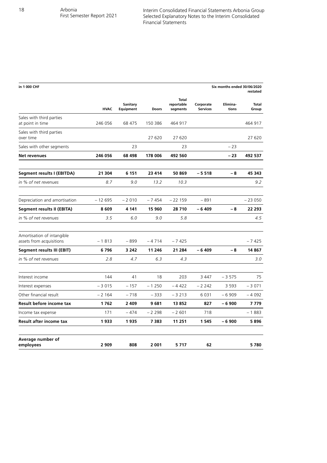| in 1 000 CHF                                           |             |                       |         |                                        |                              | Six months ended 30/06/2020 | restated       |
|--------------------------------------------------------|-------------|-----------------------|---------|----------------------------------------|------------------------------|-----------------------------|----------------|
|                                                        | <b>HVAC</b> | Sanitary<br>Equipment | Doors   | <b>Total</b><br>reportable<br>segments | Corporate<br><b>Services</b> | Elimina-<br>tions           | Total<br>Group |
| Sales with third parties<br>at point in time           | 246 056     | 68 475                | 150 386 | 464 917                                |                              |                             | 464 917        |
| Sales with third parties<br>over time                  |             |                       | 27 620  | 27 620                                 |                              |                             | 27 620         |
| Sales with other segments                              |             | 23                    |         | 23                                     |                              | $-23$                       |                |
| Net revenues                                           | 246 056     | 68 498                | 178 006 | 492 560                                |                              | $-23$                       | 492 537        |
| Segment results I (EBITDA)                             | 21 304      | 6 1 5 1               | 23 4 14 | 50 869                                 | $-5518$                      | - 8                         | 45 343         |
| in % of net revenues                                   | 8.7         | 9.0                   | 13.2    | 10.3                                   |                              |                             | 9.2            |
| Depreciation and amortisation                          | $-12695$    | $-2010$               | $-7454$ | $-22159$                               | $-891$                       |                             | $-23050$       |
| Segment results II (EBITA)                             | 8609        | 4 141                 | 15 960  | 28 710                                 | $-6409$                      | - 8                         | 22 293         |
| in % of net revenues                                   | 3.5         | 6.0                   | 9.0     | 5.8                                    |                              |                             | 4.5            |
| Amortisation of intangible<br>assets from acquisitions | $-1813$     | $-899$                | $-4714$ | $-7425$                                |                              |                             | $-7425$        |
| Segment results III (EBIT)                             | 6796        | 3 2 4 2               | 11 246  | 21 284                                 | $-6409$                      | - 8                         | 14 8 67        |
| in % of net revenues                                   | 2.8         | 4.7                   | 6.3     | 4.3                                    |                              |                             | 3.0            |
| Interest income                                        | 144         | 41                    | 18      | 203                                    | 3 4 4 7                      | $-3575$                     | 75             |
| Interest expenses                                      | $-3015$     | $-157$                | $-1250$ | $-4422$                                | $-2242$                      | 3 5 9 3                     | $-3071$        |
| Other financial result                                 | $-2164$     | $-718$                | $-333$  | $-3213$                                | 6 0 3 1                      | $-6909$                     | $-4092$        |
| Result before income tax                               | 1762        | 2 4 0 9               | 9681    | 13 852                                 | 827                          | $-6900$                     | 7 7 7 9        |
| Income tax expense                                     | 171         | $-474$                | $-2298$ | $-2601$                                | 718                          |                             | $-1883$        |
| <b>Result after income tax</b>                         | 1933        | 1935                  | 7 3 8 3 | 11 251                                 | 1 5 4 5                      | $-6900$                     | 5896           |
| Average number of<br>employees                         | 2 9 0 9     | 808                   | 2 0 0 1 | 5717                                   | 62                           |                             | 5780           |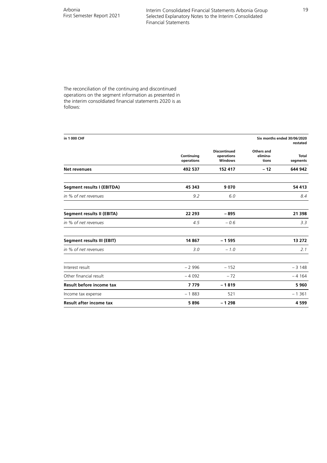Arbonia 19 Interim Consolidated Financial Statements Arbonia Group Selected Explanatory Notes to the Interim Consolidated Financial Statements

The reconciliation of the continuing and discontinued operations on the segment information as presented in the interim consoldiated financial statements 2020 is as follows:

| in 1 000 CHF                      |                          |                                                     |                                 | Six months ended 30/06/2020<br>restated |
|-----------------------------------|--------------------------|-----------------------------------------------------|---------------------------------|-----------------------------------------|
|                                   | Continuing<br>operations | <b>Discontinued</b><br>operations<br><b>Windows</b> | Others and<br>elimina-<br>tions | <b>Total</b><br>segments                |
| <b>Net revenues</b>               | 492 537                  | 152 417                                             | $-12$                           | 644 942                                 |
| <b>Segment results I (EBITDA)</b> | 45 343                   | 9070                                                |                                 | 54 413                                  |
| in % of net revenues              | 9.2                      | 6.0                                                 |                                 | 8.4                                     |
| <b>Segment results II (EBITA)</b> | 22 293                   | $-895$                                              |                                 | 21 398                                  |
| in % of net revenues              | 4.5                      | $-0.6$                                              |                                 | 3.3                                     |
| Segment results III (EBIT)        | 14 8 67                  | $-1595$                                             |                                 | 13 272                                  |
| in % of net revenues              | 3.0                      | $-1.0$                                              |                                 | 2.1                                     |
| Interest result                   | $-2996$                  | $-152$                                              |                                 | $-3148$                                 |
| Other financial result            | $-4092$                  | $-72$                                               |                                 | $-4164$                                 |
| Result before income tax          | 7779                     | $-1819$                                             |                                 | 5960                                    |
| Income tax expense                | $-1883$                  | 521                                                 |                                 | $-1361$                                 |
| <b>Result after income tax</b>    | 5896                     | $-1298$                                             |                                 | 4 5 9 9                                 |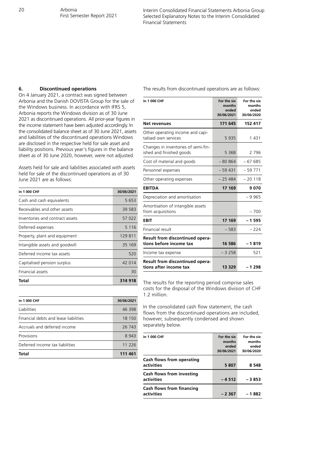Interim Consolidated Financial Statements Arbonia Group Selected Explanatory Notes to the Interim Consolidated Financial Statements

#### **6. Discontinued operations**

On 4 January 2021, a contract was signed between Arbonia and the Danish DOVISTA Group for the sale of the Windows business. In accordance with IFRS 5, Arbonia reports the Windows division as of 30 June 2021 as discontinued operations. All prior-year figures in the income statement have been adjusted accordingly. In the consolidated balance sheet as of 30 June 2021, assets and liabilities of the discontinued operations Windows are disclosed in the respective held for sale asset and liability positions. Previous year's figures in the balance sheet as of 30 June 2020, however, were not adjusted.

Assets held for sale and liabilities associated with assets held for sale of the discontinued operations as of 30 June 2021 are as follows:

| in 1000 CHF                     | 30/06/2021 |
|---------------------------------|------------|
| Cash and cash equivalents       | 5653       |
| Receivables and other assets    | 39 583     |
| Inventories and contract assets | 57 022     |
| Deferred expenses               | 5 1 1 6    |
| Property, plant and equipment   | 129 811    |
| Intangible assets and goodwill  | 35 169     |
| Deferred income tax assets      | 520        |
| Capitalised pension surplus     | 42 014     |
| <b>Financial assets</b>         | 30         |
| Total                           | 314 918    |

| in 1000 CHF                           | 30/06/2021 |
|---------------------------------------|------------|
| Liabilities                           | 46 398     |
| Financial debts and lease liabilities | 18 150     |
| Accruals and deferred income          | 26 743     |
| Provisions                            | 8943       |
| Deferred income tax liabilities       | 11 226     |
| Total                                 | 111 461    |

The results from discontinued operations are as follows:

| in 1 000 CHF                                                    | For the six<br>months<br>ended<br>30/06/2021 | For the six<br>months<br>ended<br>30/06/2020 |
|-----------------------------------------------------------------|----------------------------------------------|----------------------------------------------|
| <b>Net revenues</b>                                             | 171 645                                      | 152 417                                      |
| Other operating income and capi-<br>talised own services        | 5935                                         | 1431                                         |
| Changes in inventories of semi-fin-<br>ished and finished goods | 5 3 6 8                                      | 2796                                         |
| Cost of material and goods                                      | $-80864$                                     | $-67685$                                     |
| Personnel expenses                                              | $-59431$                                     | $-59771$                                     |
| Other operating expenses                                        | $-25484$                                     | $-20118$                                     |
| <b>EBITDA</b>                                                   | 17 169                                       | 9070                                         |
| Depreciation and amortisation                                   |                                              | $-9965$                                      |
| Amortisation of intangible assets<br>from acquisitions          |                                              | $-700$                                       |
| EBIT                                                            | 17 169                                       | – 1 595                                      |
| Financial result                                                | $-583$                                       | $-224$                                       |
| Result from discontinued opera-<br>tions before income tax      | 16 586                                       | - 1 819                                      |
| Income tax expense                                              | $-3258$                                      | 521                                          |
| Result from discontinued opera-<br>tions after income tax       | 13 3 29                                      | - 1 298                                      |

The results for the reporting period comprise sales costs for the disposal of the Windows division of CHF 1.2 million.

In the consolidated cash flow statement, the cash flows from the discontinued operations are included, however, subsequently condensed and shown separately below.

| in 1 000 CHF                            | For the six<br>months<br>ended<br>30/06/2021 | For the six<br>months<br>ended<br>30/06/2020 |
|-----------------------------------------|----------------------------------------------|----------------------------------------------|
| Cash flows from operating<br>activities | 5807                                         | 8 5 4 8                                      |
| Cash flows from investing<br>activities | $-4512$                                      | $-3853$                                      |
| Cash flows from financing<br>activities | $-2367$                                      | - 1 882                                      |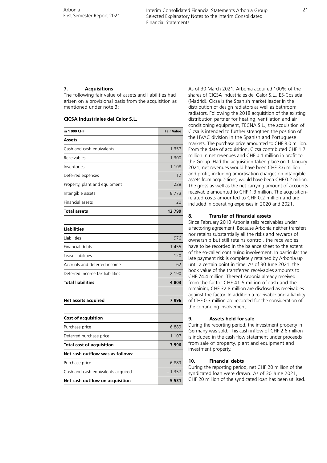Arbonia 21 Interim Consolidated Financial Statements Arbonia Group Selected Explanatory Notes to the Interim Consolidated Financial Statements

#### **7. Acquisitions**

The following fair value of assets and liabilities had arisen on a provisional basis from the acquisition as mentioned under note 3:

#### **CICSA Industriales del Calor S.L.**

| in 1 000 CHF                       | <b>Fair Value</b> |
|------------------------------------|-------------------|
| Assets                             |                   |
| Cash and cash equivalents          | 1 3 5 7           |
| Receivables                        | 1 300             |
| Inventories                        | 1 1 0 8           |
| Deferred expenses                  | 12                |
| Property, plant and equipment      | 228               |
| Intangible assets                  | 8773              |
| Financial assets                   | 20                |
| <b>Total assets</b>                | 12 799            |
|                                    |                   |
| <b>Liabilities</b>                 |                   |
| Liabilities                        | 976               |
| Financial debts                    | 1 4 5 5           |
| Lease liabilities                  | 120               |
| Accruals and deferred income       | 62                |
| Deferred income tax liabilities    | 2 190             |
| <b>Total liabilities</b>           | 4803              |
|                                    |                   |
| Net assets acquired                | 7996              |
|                                    |                   |
| <b>Cost of acquisition</b>         |                   |
| Purchase price                     | 6889              |
| Deferred purchase price            | 1 107             |
| <b>Total cost of acquisition</b>   | 7996              |
| Net cash outflow was as follows:   |                   |
| Purchase price                     | 6889              |
| Cash and cash equivalents acquired | $-1357$           |
| Net cash outflow on acquisition    | 5 5 3 1           |

As of 30 March 2021, Arbonia acquired 100% of the shares of CICSA Industriales del Calor S.L., ES-Coslada (Madrid). Cicsa is the Spanish market leader in the distribution of design radiators as well as bathroom radiators. Following the 2018 acquisition of the existing distribution partner for heating, ventilation and air conditioning equipment, TECNA S.L., the acquisition of Cicsa is intended to further strengthen the position of the HVAC division in the Spanish and Portuguese markets. The purchase price amounted to CHF 8.0 million. From the date of acquisition, Cicsa contributed CHF 1.7 million in net revenues and CHF 0.1 million in profit to the Group. Had the acquisition taken place on 1 January 2021, net revenues would have been CHF 3.6 million and profit, including amortisation charges on intangible assets from acquisitions, would have been CHF 0.2 million. The gross as well as the net carrying amount of accounts receivable amounted to CHF 1.3 million. The acquisitionrelated costs amounted to CHF 0.2 million and are included in operating expenses in 2020 and 2021.

#### **8. Transfer of financial assets**

Since February 2010 Arbonia sells receivables under a factoring agreement. Because Arbonia neither transfers nor retains substantially all the risks and rewards of ownership but still retains control, the receivables have to be recorded in the balance sheet to the extent of the so-called continuing involvement. In particular the late payment risk is completely retained by Arbonia up until a certain point in time. As of 30 June 2021, the book value of the transferred receivables amounts to CHF 74.4 million. Thereof Arbonia already received from the factor CHF 41.6 million of cash and the remaining CHF 32.8 million are disclosed as receivables against the factor. In addition a receivable and a liability of CHF 0.3 million are recorded for the consideration of the continuing involvement.

#### **9. Assets held for sale**

During the reporting period, the investment property in Germany was sold. This cash inflow of CHF 2.6 million is included in the cash flow statement under proceeds from sale of property, plant and equipment and investment property.

#### **10. Financial debts**

During the reporting period, net CHF 20 million of the syndicated loan were drawn. As of 30 June 2021, CHF 20 million of the syndicated loan has been utilised.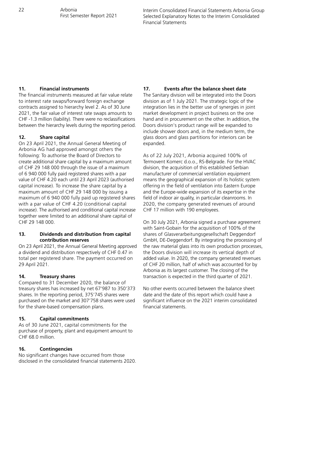Interim Consolidated Financial Statements Arbonia Group Selected Explanatory Notes to the Interim Consolidated Financial Statements

#### **11. Financial instruments**

The financial instruments measured at fair value relate to interest rate swaps/forward foreign exchange contracts assigned to hierarchy level 2. As of 30 June 2021, the fair value of interest rate swaps amounts to CHF -1.3 million (liability). There were no reclassifications between the hierarchy levels during the reporting period.

#### **12. Share capital**

On 23 April 2021, the Annual General Meeting of Arbonia AG had approved amongst others the following: To authorise the Board of Directors to create additional share capital by a maximum amount of CHF 29 148 000 through the issue of a maximum of 6 940 000 fully paid registered shares with a par value of CHF 4.20 each until 23 April 2023 (authorised capital increase). To increase the share capital by a maximum amount of CHF 29 148 000 by issuing a maximum of 6 940 000 fully paid up registered shares with a par value of CHF 4.20 (conditional capital increase). The authorised and conditional capital increase together were limited to an additional share capital of CHF 29 148 000.

#### **13. Dividends and distribution from capital contribution reserves**

On 23 April 2021, the Annual General Meeting approved a dividend and distribution respectively of CHF 0.47 in total per registered share. The payment occurred on 29 April 2021.

#### **14. Treasury shares**

Compared to 31 December 2020, the balance of treasury shares has increased by net 67'987 to 350'373 shares. In the reporting period, 375'745 shares were purchased on the market and 307'758 shares were used for the share-based compensation plans.

#### **15. Capital commitments**

As of 30 June 2021, capital commitments for the purchase of property, plant and equipment amount to CHF 68.0 million.

#### **16. Contingencies**

No significant changes have occurred from those disclosed in the consolidated financial statements 2020.

#### **17. Events after the balance sheet date**

The Sanitary division will be integrated into the Doors division as of 1 July 2021. The strategic logic of the integration lies in the better use of synergies in joint market development in project business on the one hand and in procurement on the other. In addition, the Doors division's product range will be expanded to include shower doors and, in the medium term, the glass doors and glass partitions for interiors can be expanded.

As of 22 July 2021, Arbonia acquired 100% of Termovent Komerc d.o.o., RS-Belgrade. For the HVAC division, the acquisition of this established Serbian manufacturer of commercial ventilation equipment means the geographical expansion of its holistic system offering in the field of ventilation into Eastern Europe and the Europe-wide expansion of its expertise in the field of indoor air quality, in particular cleanrooms. In 2020, the company generated revenues of around CHF 17 million with 190 employees.

On 30 July 2021, Arbonia signed a purchase agreement with Saint-Gobain for the acquisition of 100% of the shares of Glasverarbeitungsgesellschaft Deggendorf GmbH, DE-Deggendorf. By integrating the processing of the raw material glass into its own production processes, the Doors division will increase its vertical depth of added value. In 2020, the company generated revenues of CHF 20 million, half of which was accounted for by Arbonia as its largest customer. The closing of the transaction is expected in the third quarter of 2021.

No other events occurred between the balance sheet date and the date of this report which could have a significant influence on the 2021 interim consolidated financial statements.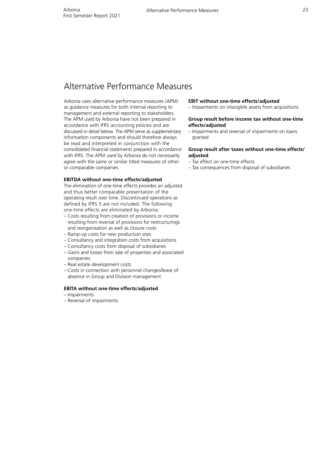## Alternative Performance Measures

Arbonia uses alternative performance measures (APM) as guidance measures for both internal reporting to management and external reporting to stakeholders. The APM used by Arbonia have not been prepared in accordance with IFRS accounting policies and are discussed in detail below. The APM serve as supplementary information components and should therefore always be read and interpreted in conjunction with the consolidated financial statements prepared in accordance with IFRS. The APM used by Arbonia do not necessarily agree with the same or similar titled measures of other or comparable companies.

#### **EBITDA without one-time effects/adjusted**

The elimination of one-time effects provides an adjusted and thus better comparable presentation of the operating result over time. Discontinued operations as defined by IFRS 5 are not included. The following one-time effects are eliminated by Arbonia:

- Costs resulting from creation of provisions or income resulting from reversal of provisions for restructurings and reorganisation as well as closure costs
- Ramp-up costs for new production sites
- Consultancy and integration costs from acquisitions
- Consultancy costs from disposal of subsidiaries
- Gains and losses from sale of properties and associated companies
- Real estate development costs
- Costs in connection with personnel changes/leave of absence in Group and Division management

#### **EBITA without one-time effects/adjusted**

- Impairments
- Reversal of impairments

#### **EBIT without one-time effects/adjusted**

– Impairments on intangible assets from acquisitions

#### **Group result before income tax without one-time effects/adjusted**

– Impairments and reversal of impairments on loans granted

#### **Group result after taxes without one-time effects/ adjusted**

- Tax effect on one-time effects
- Tax consequences from disposal of subsidiaries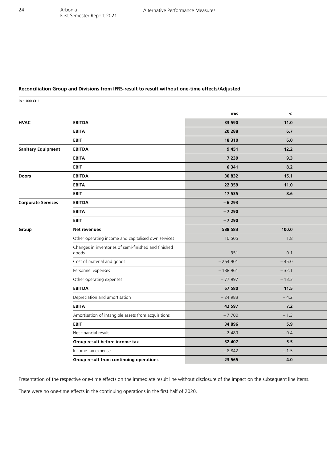#### **Reconciliation Group and Divisions from IFRS-result to result without one-time effects/Adjusted**

**in 1 000 CHF Six months ended 30/06/2021**

|                           |                                                               | <b>IFRS</b> | %       |
|---------------------------|---------------------------------------------------------------|-------------|---------|
| <b>HVAC</b>               | <b>EBITDA</b>                                                 | 33 590      | 11.0    |
|                           | <b>EBITA</b>                                                  | 20 28 8     | 6.7     |
|                           | <b>EBIT</b>                                                   | 18 3 10     | 6.0     |
| <b>Sanitary Equipment</b> | <b>EBITDA</b>                                                 | 9 4 5 1     | $12.2$  |
|                           | <b>EBITA</b>                                                  | 7 2 3 9     | 9.3     |
|                           | <b>EBIT</b>                                                   | 6 3 4 1     | 8.2     |
| <b>Doors</b>              | <b>EBITDA</b>                                                 | 30 832      | 15.1    |
|                           | <b>EBITA</b>                                                  | 22 3 5 9    | 11.0    |
|                           | <b>EBIT</b>                                                   | 17 535      | 8.6     |
| <b>Corporate Services</b> | <b>EBITDA</b>                                                 | $-6293$     |         |
|                           | <b>EBITA</b>                                                  | $-7290$     |         |
|                           | <b>EBIT</b>                                                   | $-7290$     |         |
| Group                     | <b>Net revenues</b>                                           | 588 583     | 100.0   |
|                           | Other operating income and capitalised own services           | 10 505      | 1.8     |
|                           | Changes in inventories of semi-finished and finished<br>goods | 351         | 0.1     |
|                           | Cost of material and goods                                    | $-264901$   | $-45.0$ |
|                           | Personnel expenses                                            | $-188961$   | $-32.1$ |
|                           | Other operating expenses                                      | $-77997$    | $-13.3$ |
|                           | <b>EBITDA</b>                                                 | 67 580      | 11.5    |
|                           | Depreciation and amortisation                                 | $-24983$    | $-4.2$  |
|                           | <b>EBITA</b>                                                  | 42 5 97     | 7.2     |
|                           | Amortisation of intangible assets from acquisitions           | $-7700$     | $-1.3$  |
|                           | <b>EBIT</b>                                                   | 34 8 96     | 5.9     |
|                           | Net financial result                                          | $-2489$     | $-0.4$  |
|                           | Group result before income tax                                | 32 407      | 5.5     |
|                           | Income tax expense                                            | $-8842$     | $-1.5$  |
|                           | Group result from continuing operations                       | 23 5 65     | 4.0     |
|                           |                                                               |             |         |

Presentation of the respective one-time effects on the immediate result line without disclosure of the impact on the subsequent line items.

There were no one-time effects in the continuing operations in the first half of 2020.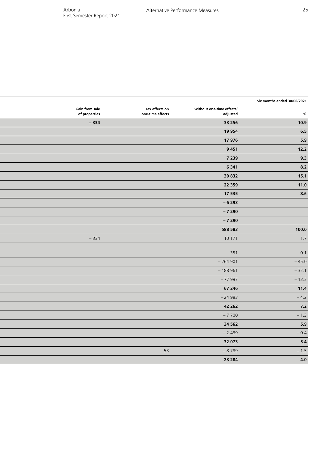| Six months ended 30/06/2021 |                                       |                                    |                                        |
|-----------------------------|---------------------------------------|------------------------------------|----------------------------------------|
| $\%$                        | without one-time effects/<br>adjusted | Tax effects on<br>one-time effects | <b>Gain from sale</b><br>of properties |
| 10.9                        | 33 256                                |                                    | $-334$                                 |
| $6.5\,$                     | 19 9 54                               |                                    |                                        |
| 5.9                         | 17 976                                |                                    |                                        |
| 12.2                        | 9 4 5 1                               |                                    |                                        |
| 9.3                         | 7 2 3 9                               |                                    |                                        |
| $8.2$                       | 6 3 4 1                               |                                    |                                        |
| 15.1                        | 30 832                                |                                    |                                        |
| 11.0                        | 22 3 5 9                              |                                    |                                        |
| 8.6                         | 17 535                                |                                    |                                        |
|                             | $-6293$                               |                                    |                                        |
|                             | $-7290$                               |                                    |                                        |
|                             | $-7290$                               |                                    |                                        |
| 100.0                       | 588 583                               |                                    |                                        |
| 1.7                         | 10 171                                |                                    | $-334$                                 |
| 0.1                         | 351                                   |                                    |                                        |
| $-45.0$                     | $-264901$                             |                                    |                                        |
| $-32.1$                     | $-188961$                             |                                    |                                        |
| $-13.3$                     | $-77997$                              |                                    |                                        |
| 11.4                        | 67 246                                |                                    |                                        |
| $-4.2$                      | $-24983$                              |                                    |                                        |
| 7.2                         | 42 262                                |                                    |                                        |
| $-1.3$                      | $-7700$                               |                                    |                                        |
| 5.9                         | 34 562                                |                                    |                                        |
| $-0.4$                      | $-2489$                               |                                    |                                        |
| $5.4$                       | 32 073                                |                                    |                                        |
| $-1.5$                      | $-8789$                               | 53                                 |                                        |
| 4.0                         | 23 284                                |                                    |                                        |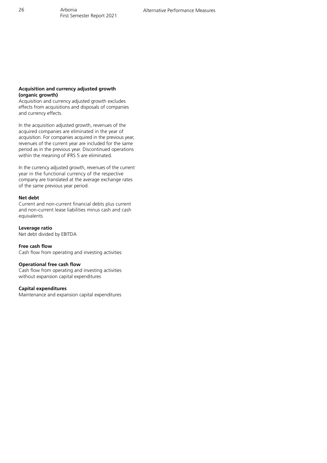#### **Acquisition and currency adjusted growth (organic growth)**

Acquisition and currency adjusted growth excludes effects from acquisitions and disposals of companies and currency effects.

In the acquisition adjusted growth, revenues of the acquired companies are eliminated in the year of acquisition. For companies acquired in the previous year, revenues of the current year are included for the same period as in the previous year. Discontinued operations within the meaning of IFRS 5 are eliminated.

In the currency adjusted growth, revenues of the current year in the functional currency of the respective company are translated at the average exchange rates of the same previous year period.

#### **Net debt**

Current and non-current financial debts plus current and non-current lease liabilities minus cash and cash equivalents

**Leverage ratio** Net debt divided by EBITDA

**Free cash flow** Cash flow from operating and investing activities

#### **Operational free cash flow**

Cash flow from operating and investing activities without expansion capital expenditures

#### **Capital expenditures**

Maintenance and expansion capital expenditures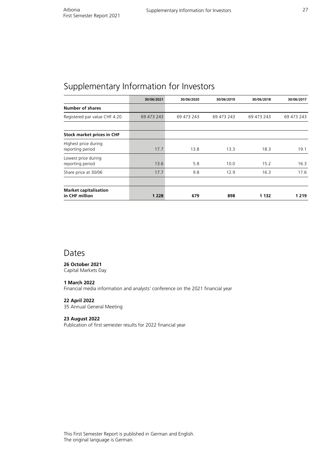## Supplementary Information for Investors

|                                                | 30/06/2021 | 30/06/2020 | 30/06/2019 | 30/06/2018 | 30/06/2017 |
|------------------------------------------------|------------|------------|------------|------------|------------|
| <b>Number of shares</b>                        |            |            |            |            |            |
| Registered par value CHF 4.20                  | 69 473 243 | 69 473 243 | 69 473 243 | 69 473 243 | 69 473 243 |
|                                                |            |            |            |            |            |
| <b>Stock market prices in CHF</b>              |            |            |            |            |            |
| Highest price during<br>reporting period       | 17.7       | 13.8       | 13.3       | 18.3       | 19.1       |
| Lowest price during<br>reporting period        | 13.6       | 5.8        | 10.0       | 15.2       | 16.3       |
| Share price at 30/06                           | 17.7       | 9.8        | 12.9       | 16.3       | 17.6       |
| <b>Market capitalisation</b><br>in CHF million | 1 2 2 8    | 679        | 898        | 1 1 3 2    | 1 2 1 9    |

## Dates

#### **26 October 2021**

Capital Markets Day

#### **1 March 2022**

Financial media information and analysts' conference on the 2021 financial year

#### **22 April 2022**

35 Annual General Meeting

#### **23 August 2022**

Publication of first semester results for 2022 financial year